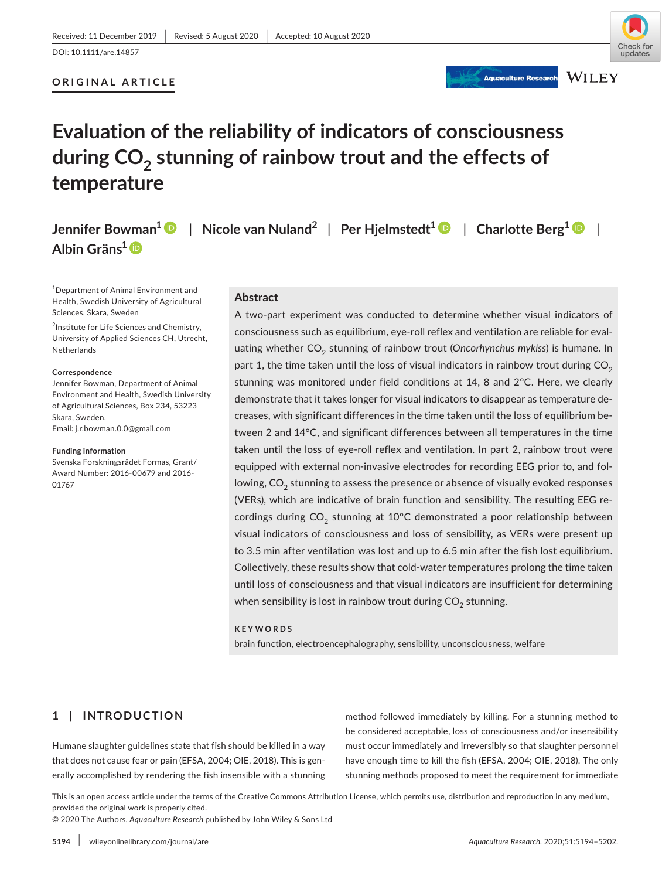**ORIGINAL ARTICLE**

# undates **WILEY**

**Aquaculture Research** 

## **Evaluation of the reliability of indicators of consciousness during CO2 stunning of rainbow trout and the effects of temperature**

**Jennifer Bowman<sup>1</sup>** | **Nicole van Nuland<sup>2</sup>** | **Per Hjelmstedt[1](https://orcid.org/0000-0002-4797-748X)** | **Charlotte Berg[1](https://orcid.org/0000-0001-5671-5273)** | **Albin Gräns[1](https://orcid.org/0000-0003-0268-1199)**

1 Department of Animal Environment and Health, Swedish University of Agricultural Sciences, Skara, Sweden

<sup>2</sup>Institute for Life Sciences and Chemistry, University of Applied Sciences CH, Utrecht, Netherlands

#### **Correspondence**

Jennifer Bowman, Department of Animal Environment and Health, Swedish University of Agricultural Sciences, Box 234, 53223 Skara, Sweden. Email: [j.r.bowman.0.0@gmail.com](mailto:j.r.bowman.0.0@gmail.com)

#### **Funding information**

Svenska Forskningsrådet Formas, Grant/ Award Number: 2016-00679 and 2016- 01767

#### **Abstract**

A two-part experiment was conducted to determine whether visual indicators of consciousness such as equilibrium, eye-roll reflex and ventilation are reliable for evaluating whether CO<sub>2</sub> stunning of rainbow trout (Oncorhynchus mykiss) is humane. In part 1, the time taken until the loss of visual indicators in rainbow trout during  $CO<sub>2</sub>$ stunning was monitored under field conditions at 14, 8 and 2°C. Here, we clearly demonstrate that it takes longer for visual indicators to disappear as temperature decreases, with significant differences in the time taken until the loss of equilibrium between 2 and 14°C, and significant differences between all temperatures in the time taken until the loss of eye-roll reflex and ventilation. In part 2, rainbow trout were equipped with external non-invasive electrodes for recording EEG prior to, and following, CO<sub>2</sub> stunning to assess the presence or absence of visually evoked responses (VERs), which are indicative of brain function and sensibility. The resulting EEG recordings during  $CO<sub>2</sub>$  stunning at 10°C demonstrated a poor relationship between visual indicators of consciousness and loss of sensibility, as VERs were present up to 3.5 min after ventilation was lost and up to 6.5 min after the fish lost equilibrium. Collectively, these results show that cold-water temperatures prolong the time taken until loss of consciousness and that visual indicators are insufficient for determining when sensibility is lost in rainbow trout during  $CO<sub>2</sub>$  stunning.

## **KEYWORDS**

brain function, electroencephalography, sensibility, unconsciousness, welfare

## **1** | **INTRODUCTION**

Humane slaughter guidelines state that fish should be killed in a way that does not cause fear or pain (EFSA, 2004; OIE, 2018). This is generally accomplished by rendering the fish insensible with a stunning

method followed immediately by killing. For a stunning method to be considered acceptable, loss of consciousness and/or insensibility must occur immediately and irreversibly so that slaughter personnel have enough time to kill the fish (EFSA, 2004; OIE, 2018). The only stunning methods proposed to meet the requirement for immediate

This is an open access article under the terms of the [Creative Commons Attribution](http://creativecommons.org/licenses/by/4.0/) License, which permits use, distribution and reproduction in any medium, provided the original work is properly cited.

© 2020 The Authors. *Aquaculture Research* published by John Wiley & Sons Ltd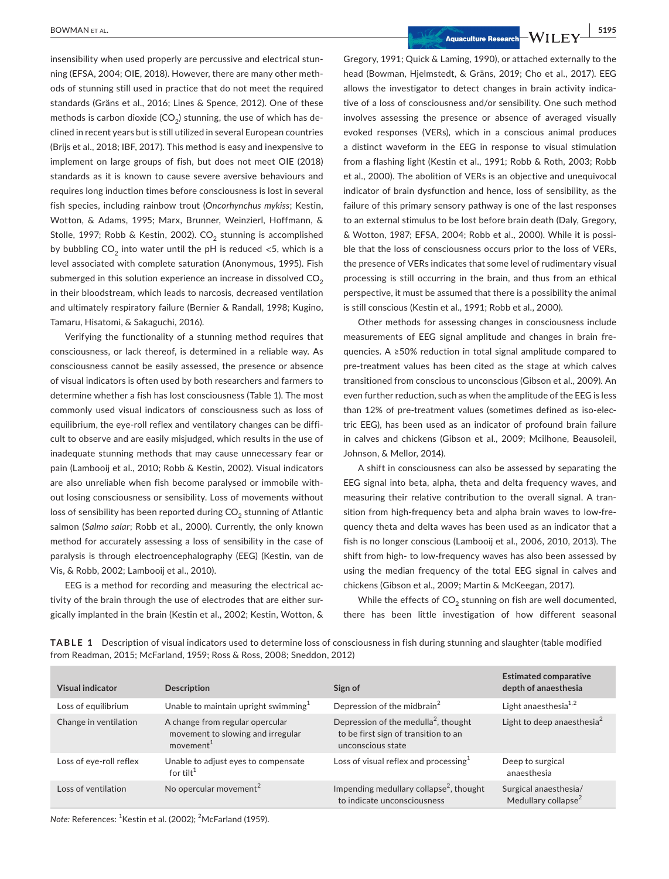insensibility when used properly are percussive and electrical stunning (EFSA, 2004; OIE, 2018). However, there are many other methods of stunning still used in practice that do not meet the required standards (Gräns et al., 2016; Lines & Spence, 2012). One of these methods is carbon dioxide ( $CO<sub>2</sub>$ ) stunning, the use of which has declined in recent years but is still utilized in several European countries (Brijs et al., 2018; IBF, 2017). This method is easy and inexpensive to implement on large groups of fish, but does not meet OIE (2018) standards as it is known to cause severe aversive behaviours and requires long induction times before consciousness is lost in several fish species, including rainbow trout (*Oncorhynchus mykiss*; Kestin, Wotton, & Adams, 1995; Marx, Brunner, Weinzierl, Hoffmann, & Stolle, 1997; Robb & Kestin, 2002). CO<sub>2</sub> stunning is accomplished by bubbling  $CO<sub>2</sub>$  into water until the pH is reduced <5, which is a level associated with complete saturation (Anonymous, 1995). Fish submerged in this solution experience an increase in dissolved  $CO<sub>2</sub>$ in their bloodstream, which leads to narcosis, decreased ventilation and ultimately respiratory failure (Bernier & Randall, 1998; Kugino, Tamaru, Hisatomi, & Sakaguchi, 2016).

Verifying the functionality of a stunning method requires that consciousness, or lack thereof, is determined in a reliable way. As consciousness cannot be easily assessed, the presence or absence of visual indicators is often used by both researchers and farmers to determine whether a fish has lost consciousness (Table 1). The most commonly used visual indicators of consciousness such as loss of equilibrium, the eye-roll reflex and ventilatory changes can be difficult to observe and are easily misjudged, which results in the use of inadequate stunning methods that may cause unnecessary fear or pain (Lambooij et al., 2010; Robb & Kestin, 2002). Visual indicators are also unreliable when fish become paralysed or immobile without losing consciousness or sensibility. Loss of movements without loss of sensibility has been reported during  $CO<sub>2</sub>$  stunning of Atlantic salmon (*Salmo salar*; Robb et al., 2000). Currently, the only known method for accurately assessing a loss of sensibility in the case of paralysis is through electroencephalography (EEG) (Kestin, van de Vis, & Robb, 2002; Lambooij et al., 2010).

EEG is a method for recording and measuring the electrical activity of the brain through the use of electrodes that are either surgically implanted in the brain (Kestin et al., 2002; Kestin, Wotton, &

 **BOWMAN ET AL.** 5195

Gregory, 1991; Quick & Laming, 1990), or attached externally to the head (Bowman, Hjelmstedt, & Gräns, 2019; Cho et al., 2017). EEG allows the investigator to detect changes in brain activity indicative of a loss of consciousness and/or sensibility. One such method involves assessing the presence or absence of averaged visually evoked responses (VERs), which in a conscious animal produces a distinct waveform in the EEG in response to visual stimulation from a flashing light (Kestin et al., 1991; Robb & Roth, 2003; Robb et al., 2000). The abolition of VERs is an objective and unequivocal indicator of brain dysfunction and hence, loss of sensibility, as the failure of this primary sensory pathway is one of the last responses to an external stimulus to be lost before brain death (Daly, Gregory, & Wotton, 1987; EFSA, 2004; Robb et al., 2000). While it is possible that the loss of consciousness occurs prior to the loss of VERs, the presence of VERs indicates that some level of rudimentary visual processing is still occurring in the brain, and thus from an ethical perspective, it must be assumed that there is a possibility the animal is still conscious (Kestin et al., 1991; Robb et al., 2000).

Other methods for assessing changes in consciousness include measurements of EEG signal amplitude and changes in brain frequencies. A ≥50% reduction in total signal amplitude compared to pre-treatment values has been cited as the stage at which calves transitioned from conscious to unconscious (Gibson et al., 2009). An even further reduction, such as when the amplitude of the EEG is less than 12% of pre-treatment values (sometimes defined as iso-electric EEG), has been used as an indicator of profound brain failure in calves and chickens (Gibson et al., 2009; Mcilhone, Beausoleil, Johnson, & Mellor, 2014).

A shift in consciousness can also be assessed by separating the EEG signal into beta, alpha, theta and delta frequency waves, and measuring their relative contribution to the overall signal. A transition from high-frequency beta and alpha brain waves to low-frequency theta and delta waves has been used as an indicator that a fish is no longer conscious (Lambooij et al., 2006, 2010, 2013). The shift from high- to low-frequency waves has also been assessed by using the median frequency of the total EEG signal in calves and chickens (Gibson et al., 2009; Martin & McKeegan, 2017).

While the effects of  $CO<sub>2</sub>$  stunning on fish are well documented, there has been little investigation of how different seasonal

| <b>Visual indicator</b> | <b>Description</b>                                                                            | Sign of                                                                                                       | <b>Estimated comparative</b><br>depth of anaesthesia     |
|-------------------------|-----------------------------------------------------------------------------------------------|---------------------------------------------------------------------------------------------------------------|----------------------------------------------------------|
| Loss of equilibrium     | Unable to maintain upright swimming $1$                                                       | Depression of the midbrain <sup>2</sup>                                                                       | Light anaesthesia <sup>1,2</sup>                         |
| Change in ventilation   | A change from regular opercular<br>movement to slowing and irregular<br>movement <sup>1</sup> | Depression of the medulla <sup>2</sup> , thought<br>to be first sign of transition to an<br>unconscious state | Light to deep anaesthesia $2$                            |
| Loss of eye-roll reflex | Unable to adjust eyes to compensate<br>for tilt <sup>1</sup>                                  | Loss of visual reflex and processing $1$                                                                      | Deep to surgical<br>anaesthesia                          |
| Loss of ventilation     | No opercular movement <sup>2</sup>                                                            | Impending medullary collapse <sup>2</sup> , thought<br>to indicate unconsciousness                            | Surgical anaesthesia/<br>Medullary collapse <sup>2</sup> |
|                         |                                                                                               |                                                                                                               |                                                          |

**TABLE 1** Description of visual indicators used to determine loss of consciousness in fish during stunning and slaughter (table modified from Readman, 2015; McFarland, 1959; Ross & Ross, 2008; Sneddon, 2012)

*Note:* References: <sup>1</sup> Kestin et al. (2002); <sup>2</sup> McFarland (1959).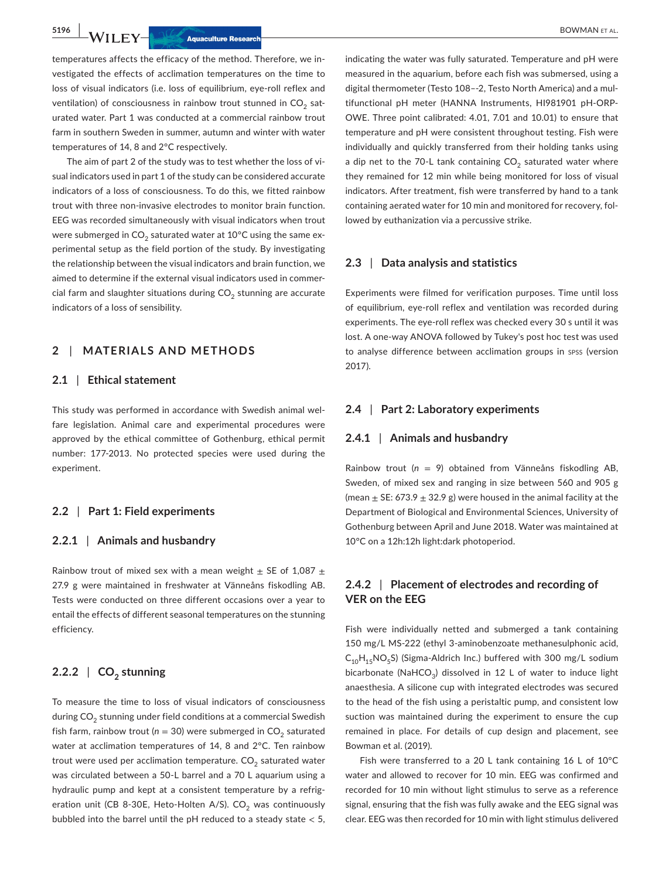temperatures affects the efficacy of the method. Therefore, we investigated the effects of acclimation temperatures on the time to loss of visual indicators (i.e. loss of equilibrium, eye-roll reflex and ventilation) of consciousness in rainbow trout stunned in  $CO<sub>2</sub>$  saturated water. Part 1 was conducted at a commercial rainbow trout farm in southern Sweden in summer, autumn and winter with water temperatures of 14, 8 and 2°C respectively.

The aim of part 2 of the study was to test whether the loss of visual indicators used in part 1 of the study can be considered accurate indicators of a loss of consciousness. To do this, we fitted rainbow trout with three non-invasive electrodes to monitor brain function. EEG was recorded simultaneously with visual indicators when trout were submerged in  $CO_2$  saturated water at 10°C using the same experimental setup as the field portion of the study. By investigating the relationship between the visual indicators and brain function, we aimed to determine if the external visual indicators used in commercial farm and slaughter situations during  $CO<sub>2</sub>$  stunning are accurate indicators of a loss of sensibility.

## **2** | **MATERIALS AND METHODS**

#### **2.1** | **Ethical statement**

This study was performed in accordance with Swedish animal welfare legislation. Animal care and experimental procedures were approved by the ethical committee of Gothenburg, ethical permit number: 177-2013. No protected species were used during the experiment.

#### **2.2** | **Part 1: Field experiments**

#### **2.2.1** | **Animals and husbandry**

Rainbow trout of mixed sex with a mean weight  $\pm$  SE of 1,087  $\pm$ 27.9 g were maintained in freshwater at Vänneåns fiskodling AB. Tests were conducted on three different occasions over a year to entail the effects of different seasonal temperatures on the stunning efficiency.

## **2.2.2** | **CO2 stunning**

To measure the time to loss of visual indicators of consciousness during  $CO<sub>2</sub>$  stunning under field conditions at a commercial Swedish fish farm, rainbow trout ( $n = 30$ ) were submerged in  $CO<sub>2</sub>$  saturated water at acclimation temperatures of 14, 8 and 2°C. Ten rainbow trout were used per acclimation temperature.  $CO<sub>2</sub>$  saturated water was circulated between a 50-L barrel and a 70 L aquarium using a hydraulic pump and kept at a consistent temperature by a refrigeration unit (CB 8-30E, Heto-Holten A/S). CO<sub>2</sub> was continuously bubbled into the barrel until the pH reduced to a steady state < 5,

indicating the water was fully saturated. Temperature and pH were measured in the aquarium, before each fish was submersed, using a digital thermometer (Testo 108–-2, Testo North America) and a multifunctional pH meter (HANNA Instruments, HI981901 pH-ORP-OWE. Three point calibrated: 4.01, 7.01 and 10.01) to ensure that temperature and pH were consistent throughout testing. Fish were individually and quickly transferred from their holding tanks using a dip net to the 70-L tank containing  $CO<sub>2</sub>$  saturated water where they remained for 12 min while being monitored for loss of visual indicators. After treatment, fish were transferred by hand to a tank containing aerated water for 10 min and monitored for recovery, followed by euthanization via a percussive strike.

#### **2.3** | **Data analysis and statistics**

Experiments were filmed for verification purposes. Time until loss of equilibrium, eye-roll reflex and ventilation was recorded during experiments. The eye-roll reflex was checked every 30 s until it was lost. A one-way ANOVA followed by Tukey's post hoc test was used to analyse difference between acclimation groups in spss (version 2017).

#### **2.4** | **Part 2: Laboratory experiments**

#### **2.4.1** | **Animals and husbandry**

Rainbow trout (*n* = 9) obtained from Vänneåns fiskodling AB, Sweden, of mixed sex and ranging in size between 560 and 905 g (mean  $\pm$  SE: 673.9  $\pm$  32.9 g) were housed in the animal facility at the Department of Biological and Environmental Sciences, University of Gothenburg between April and June 2018. Water was maintained at 10°C on a 12h:12h light:dark photoperiod.

## **2.4.2** | **Placement of electrodes and recording of VER on the EEG**

Fish were individually netted and submerged a tank containing 150 mg/L MS-222 (ethyl 3-aminobenzoate methanesulphonic acid,  $C_{10}H_{15}NO_5S$ ) (Sigma-Aldrich Inc.) buffered with 300 mg/L sodium bicarbonate (NaHCO<sub>3</sub>) dissolved in 12 L of water to induce light anaesthesia. A silicone cup with integrated electrodes was secured to the head of the fish using a peristaltic pump, and consistent low suction was maintained during the experiment to ensure the cup remained in place. For details of cup design and placement, see Bowman et al. (2019).

Fish were transferred to a 20 L tank containing 16 L of 10°C water and allowed to recover for 10 min. EEG was confirmed and recorded for 10 min without light stimulus to serve as a reference signal, ensuring that the fish was fully awake and the EEG signal was clear. EEG was then recorded for 10 min with light stimulus delivered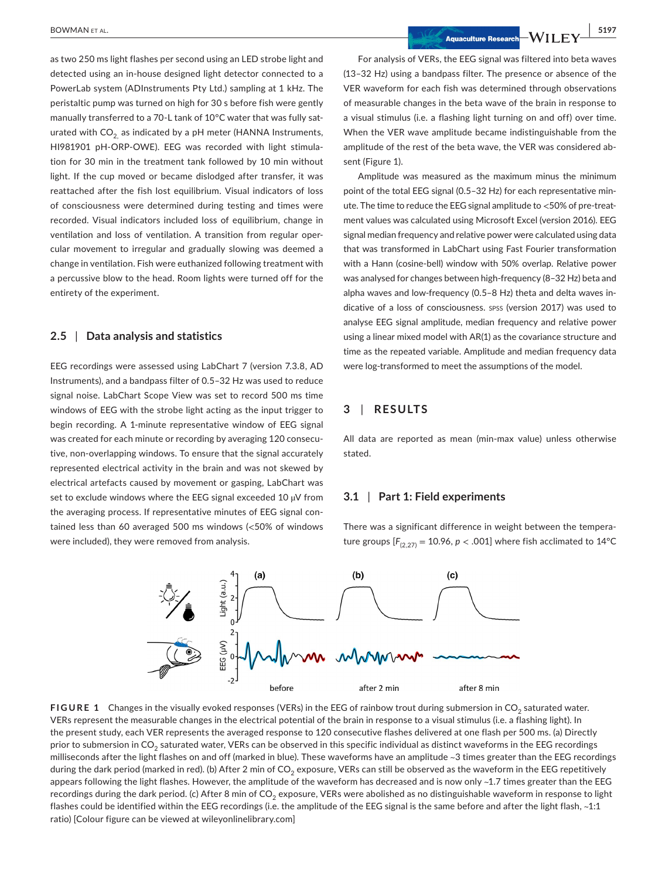as two 250 ms light flashes per second using an LED strobe light and detected using an in-house designed light detector connected to a PowerLab system (ADInstruments Pty Ltd.) sampling at 1 kHz. The peristaltic pump was turned on high for 30 s before fish were gently manually transferred to a 70-L tank of 10°C water that was fully saturated with  $CO<sub>2</sub>$  as indicated by a pH meter (HANNA Instruments, HI981901 pH-ORP-OWE). EEG was recorded with light stimulation for 30 min in the treatment tank followed by 10 min without light. If the cup moved or became dislodged after transfer, it was reattached after the fish lost equilibrium. Visual indicators of loss of consciousness were determined during testing and times were recorded. Visual indicators included loss of equilibrium, change in ventilation and loss of ventilation. A transition from regular opercular movement to irregular and gradually slowing was deemed a change in ventilation. Fish were euthanized following treatment with a percussive blow to the head. Room lights were turned off for the entirety of the experiment.

#### **2.5** | **Data analysis and statistics**

EEG recordings were assessed using LabChart 7 (version 7.3.8, AD Instruments), and a bandpass filter of 0.5–32 Hz was used to reduce signal noise. LabChart Scope View was set to record 500 ms time windows of EEG with the strobe light acting as the input trigger to begin recording. A 1-minute representative window of EEG signal was created for each minute or recording by averaging 120 consecutive, non-overlapping windows. To ensure that the signal accurately represented electrical activity in the brain and was not skewed by electrical artefacts caused by movement or gasping, LabChart was set to exclude windows where the EEG signal exceeded 10 µV from the averaging process. If representative minutes of EEG signal contained less than 60 averaged 500 ms windows (<50% of windows were included), they were removed from analysis.

For analysis of VERs, the EEG signal was filtered into beta waves (13–32 Hz) using a bandpass filter. The presence or absence of the VER waveform for each fish was determined through observations of measurable changes in the beta wave of the brain in response to a visual stimulus (i.e. a flashing light turning on and off) over time. When the VER wave amplitude became indistinguishable from the amplitude of the rest of the beta wave, the VER was considered absent (Figure 1).

Amplitude was measured as the maximum minus the minimum point of the total EEG signal (0.5–32 Hz) for each representative minute. The time to reduce the EEG signal amplitude to <50% of pre-treatment values was calculated using Microsoft Excel (version 2016). EEG signal median frequency and relative power were calculated using data that was transformed in LabChart using Fast Fourier transformation with a Hann (cosine-bell) window with 50% overlap. Relative power was analysed for changes between high-frequency (8–32 Hz) beta and alpha waves and low-frequency (0.5–8 Hz) theta and delta waves indicative of a loss of consciousness. spss (version 2017) was used to analyse EEG signal amplitude, median frequency and relative power using a linear mixed model with AR(1) as the covariance structure and time as the repeated variable. Amplitude and median frequency data were log-transformed to meet the assumptions of the model.

#### **3** | **RESULTS**

All data are reported as mean (min-max value) unless otherwise stated.

#### **3.1** | **Part 1: Field experiments**

There was a significant difference in weight between the temperature groups  $[F_{(2,27)} = 10.96, p < .001]$  where fish acclimated to 14<sup>o</sup>C



**FIGURE 1** Changes in the visually evoked responses (VERs) in the EEG of rainbow trout during submersion in CO<sub>2</sub> saturated water. VERs represent the measurable changes in the electrical potential of the brain in response to a visual stimulus (i.e. a flashing light). In the present study, each VER represents the averaged response to 120 consecutive flashes delivered at one flash per 500 ms. (a) Directly prior to submersion in CO<sub>2</sub> saturated water, VERs can be observed in this specific individual as distinct waveforms in the EEG recordings milliseconds after the light flashes on and off (marked in blue). These waveforms have an amplitude ~3 times greater than the EEG recordings during the dark period (marked in red). (b) After 2 min of CO<sub>2</sub> exposure, VERs can still be observed as the waveform in the EEG repetitively appears following the light flashes. However, the amplitude of the waveform has decreased and is now only  $\sim$ 1.7 times greater than the EEG recordings during the dark period. (c) After 8 min of CO<sub>2</sub> exposure, VERs were abolished as no distinguishable waveform in response to light flashes could be identified within the EEG recordings (i.e. the amplitude of the EEG signal is the same before and after the light flash, ~1:1 ratio) [Colour figure can be viewed at [wileyonlinelibrary.com](www.wileyonlinelibrary.com)]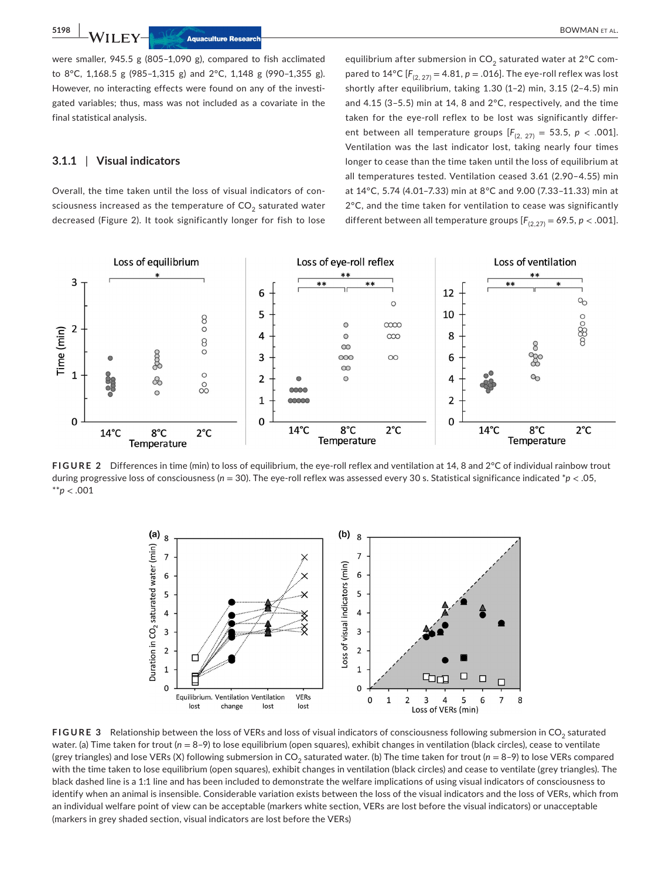were smaller, 945.5 g (805–1,090 g), compared to fish acclimated to 8°C, 1,168.5 g (985–1,315 g) and 2°C, 1,148 g (990–1,355 g). However, no interacting effects were found on any of the investigated variables; thus, mass was not included as a covariate in the final statistical analysis.

#### **3.1.1** | **Visual indicators**

Overall, the time taken until the loss of visual indicators of consciousness increased as the temperature of  $CO<sub>2</sub>$  saturated water decreased (Figure 2). It took significantly longer for fish to lose

equilibrium after submersion in  $CO<sub>2</sub>$  saturated water at 2°C compared to  $14^{\circ}C$  [ $F_{(2, 27)} = 4.81$ ,  $p = .016$ ]. The eye-roll reflex was lost shortly after equilibrium, taking 1.30 (1–2) min, 3.15 (2–4.5) min and 4.15 (3–5.5) min at 14, 8 and 2°C, respectively, and the time taken for the eye-roll reflex to be lost was significantly different between all temperature groups  $[F_{(2, 27)} = 53.5, p < .001]$ . Ventilation was the last indicator lost, taking nearly four times longer to cease than the time taken until the loss of equilibrium at all temperatures tested. Ventilation ceased 3.61 (2.90–4.55) min at 14°C, 5.74 (4.01–7.33) min at 8°C and 9.00 (7.33–11.33) min at 2°C, and the time taken for ventilation to cease was significantly different between all temperature groups  $[F_{(2,27)} = 69.5, p < .001]$ .



**FIGURE 2** Differences in time (min) to loss of equilibrium, the eye-roll reflex and ventilation at 14, 8 and 2°C of individual rainbow trout during progressive loss of consciousness (*n* = 30). The eye-roll reflex was assessed every 30 s. Statistical significance indicated \**p* < .05, \*\**p* < .001



**FIGURE 3** Relationship between the loss of VERs and loss of visual indicators of consciousness following submersion in CO<sub>2</sub> saturated water. (a) Time taken for trout ( $n = 8-9$ ) to lose equilibrium (open squares), exhibit changes in ventilation (black circles), cease to ventilate (grey triangles) and lose VERs (X) following submersion in CO<sub>2</sub> saturated water. (b) The time taken for trout ( $n = 8$ –9) to lose VERs compared with the time taken to lose equilibrium (open squares), exhibit changes in ventilation (black circles) and cease to ventilate (grey triangles). The black dashed line is a 1:1 line and has been included to demonstrate the welfare implications of using visual indicators of consciousness to identify when an animal is insensible. Considerable variation exists between the loss of the visual indicators and the loss of VERs, which from an individual welfare point of view can be acceptable (markers white section, VERs are lost before the visual indicators) or unacceptable (markers in grey shaded section, visual indicators are lost before the VERs)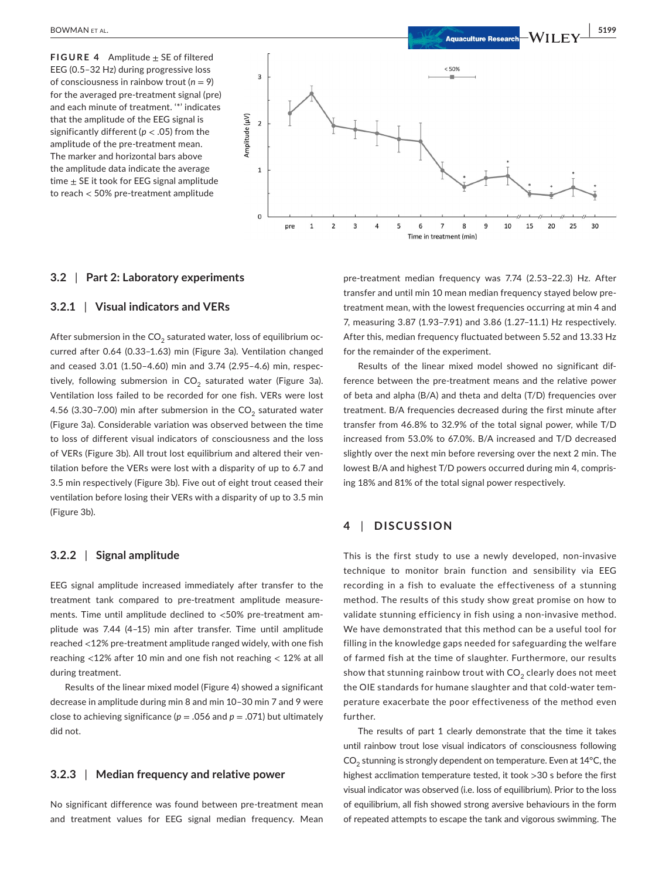**FIGURE 4** Amplitude  $\pm$  SE of filtered EEG (0.5–32 Hz) during progressive loss of consciousness in rainbow trout (*n* = 9) for the averaged pre-treatment signal (pre) and each minute of treatment. '\*' indicates that the amplitude of the EEG signal is significantly different (*p* < .05) from the amplitude of the pre-treatment mean. The marker and horizontal bars above the amplitude data indicate the average time  $\pm$  SE it took for EEG signal amplitude to reach < 50% pre-treatment amplitude



#### **3.2** | **Part 2: Laboratory experiments**

#### **3.2.1** | **Visual indicators and VERs**

After submersion in the  $CO<sub>2</sub>$  saturated water, loss of equilibrium occurred after 0.64 (0.33–1.63) min (Figure 3a). Ventilation changed and ceased 3.01 (1.50–4.60) min and 3.74 (2.95–4.6) min, respectively, following submersion in  $CO<sub>2</sub>$  saturated water (Figure 3a). Ventilation loss failed to be recorded for one fish. VERs were lost 4.56 (3.30-7.00) min after submersion in the  $CO<sub>2</sub>$  saturated water (Figure 3a). Considerable variation was observed between the time to loss of different visual indicators of consciousness and the loss of VERs (Figure 3b). All trout lost equilibrium and altered their ventilation before the VERs were lost with a disparity of up to 6.7 and 3.5 min respectively (Figure 3b). Five out of eight trout ceased their ventilation before losing their VERs with a disparity of up to 3.5 min (Figure 3b).

#### **3.2.2** | **Signal amplitude**

EEG signal amplitude increased immediately after transfer to the treatment tank compared to pre-treatment amplitude measurements. Time until amplitude declined to <50% pre-treatment amplitude was 7.44 (4–15) min after transfer. Time until amplitude reached <12% pre-treatment amplitude ranged widely, with one fish reaching <12% after 10 min and one fish not reaching < 12% at all during treatment.

Results of the linear mixed model (Figure 4) showed a significant decrease in amplitude during min 8 and min 10–30 min 7 and 9 were close to achieving significance ( $p = .056$  and  $p = .071$ ) but ultimately did not.

### **3.2.3** | **Median frequency and relative power**

No significant difference was found between pre-treatment mean and treatment values for EEG signal median frequency. Mean pre-treatment median frequency was 7.74 (2.53–22.3) Hz. After transfer and until min 10 mean median frequency stayed below pretreatment mean, with the lowest frequencies occurring at min 4 and 7, measuring 3.87 (1.93–7.91) and 3.86 (1.27–11.1) Hz respectively. After this, median frequency fluctuated between 5.52 and 13.33 Hz for the remainder of the experiment.

Results of the linear mixed model showed no significant difference between the pre-treatment means and the relative power of beta and alpha (B/A) and theta and delta (T/D) frequencies over treatment. B/A frequencies decreased during the first minute after transfer from 46.8% to 32.9% of the total signal power, while T/D increased from 53.0% to 67.0%. B/A increased and T/D decreased slightly over the next min before reversing over the next 2 min. The lowest B/A and highest T/D powers occurred during min 4, comprising 18% and 81% of the total signal power respectively.

#### **4** | **DISCUSSION**

This is the first study to use a newly developed, non-invasive technique to monitor brain function and sensibility via EEG recording in a fish to evaluate the effectiveness of a stunning method. The results of this study show great promise on how to validate stunning efficiency in fish using a non-invasive method. We have demonstrated that this method can be a useful tool for filling in the knowledge gaps needed for safeguarding the welfare of farmed fish at the time of slaughter. Furthermore, our results show that stunning rainbow trout with  $CO<sub>2</sub>$  clearly does not meet the OIE standards for humane slaughter and that cold-water temperature exacerbate the poor effectiveness of the method even further.

The results of part 1 clearly demonstrate that the time it takes until rainbow trout lose visual indicators of consciousness following  $CO<sub>2</sub>$  stunning is strongly dependent on temperature. Even at 14 $\degree$ C, the highest acclimation temperature tested, it took >30 s before the first visual indicator was observed (i.e. loss of equilibrium). Prior to the loss of equilibrium, all fish showed strong aversive behaviours in the form of repeated attempts to escape the tank and vigorous swimming. The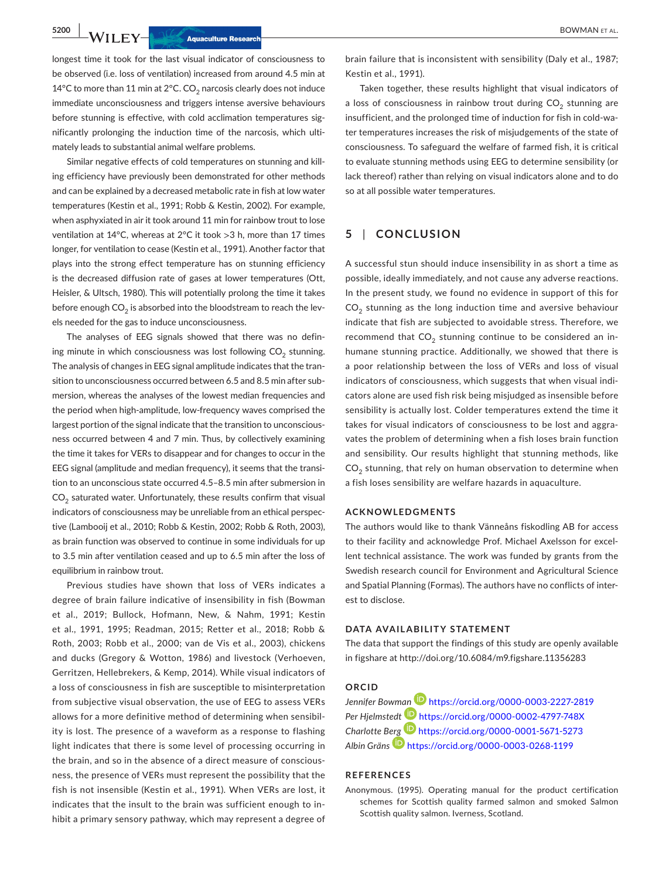longest time it took for the last visual indicator of consciousness to be observed (i.e. loss of ventilation) increased from around 4.5 min at 14°C to more than 11 min at 2°C. CO<sub>2</sub> narcosis clearly does not induce immediate unconsciousness and triggers intense aversive behaviours before stunning is effective, with cold acclimation temperatures significantly prolonging the induction time of the narcosis, which ultimately leads to substantial animal welfare problems.

Similar negative effects of cold temperatures on stunning and killing efficiency have previously been demonstrated for other methods and can be explained by a decreased metabolic rate in fish at low water temperatures (Kestin et al., 1991; Robb & Kestin, 2002). For example, when asphyxiated in air it took around 11 min for rainbow trout to lose ventilation at 14°C, whereas at 2°C it took >3 h, more than 17 times longer, for ventilation to cease (Kestin et al., 1991). Another factor that plays into the strong effect temperature has on stunning efficiency is the decreased diffusion rate of gases at lower temperatures (Ott, Heisler, & Ultsch, 1980). This will potentially prolong the time it takes before enough  $CO<sub>2</sub>$  is absorbed into the bloodstream to reach the levels needed for the gas to induce unconsciousness.

The analyses of EEG signals showed that there was no defining minute in which consciousness was lost following  $CO<sub>2</sub>$  stunning. The analysis of changes in EEG signal amplitude indicates that the transition to unconsciousness occurred between 6.5 and 8.5 min after submersion, whereas the analyses of the lowest median frequencies and the period when high-amplitude, low-frequency waves comprised the largest portion of the signal indicate that the transition to unconsciousness occurred between 4 and 7 min. Thus, by collectively examining the time it takes for VERs to disappear and for changes to occur in the EEG signal (amplitude and median frequency), it seems that the transition to an unconscious state occurred 4.5–8.5 min after submersion in  $CO<sub>2</sub>$  saturated water. Unfortunately, these results confirm that visual indicators of consciousness may be unreliable from an ethical perspective (Lambooij et al., 2010; Robb & Kestin, 2002; Robb & Roth, 2003), as brain function was observed to continue in some individuals for up to 3.5 min after ventilation ceased and up to 6.5 min after the loss of equilibrium in rainbow trout.

Previous studies have shown that loss of VERs indicates a degree of brain failure indicative of insensibility in fish (Bowman et al., 2019; Bullock, Hofmann, New, & Nahm, 1991; Kestin et al., 1991, 1995; Readman, 2015; Retter et al., 2018; Robb & Roth, 2003; Robb et al., 2000; van de Vis et al., 2003), chickens and ducks (Gregory & Wotton, 1986) and livestock (Verhoeven, Gerritzen, Hellebrekers, & Kemp, 2014). While visual indicators of a loss of consciousness in fish are susceptible to misinterpretation from subjective visual observation, the use of EEG to assess VERs allows for a more definitive method of determining when sensibility is lost. The presence of a waveform as a response to flashing light indicates that there is some level of processing occurring in the brain, and so in the absence of a direct measure of consciousness, the presence of VERs must represent the possibility that the fish is not insensible (Kestin et al., 1991). When VERs are lost, it indicates that the insult to the brain was sufficient enough to inhibit a primary sensory pathway, which may represent a degree of brain failure that is inconsistent with sensibility (Daly et al., 1987; Kestin et al., 1991).

Taken together, these results highlight that visual indicators of a loss of consciousness in rainbow trout during  $CO<sub>2</sub>$  stunning are insufficient, and the prolonged time of induction for fish in cold-water temperatures increases the risk of misjudgements of the state of consciousness. To safeguard the welfare of farmed fish, it is critical to evaluate stunning methods using EEG to determine sensibility (or lack thereof) rather than relying on visual indicators alone and to do so at all possible water temperatures.

#### **5** | **CONCLUSION**

A successful stun should induce insensibility in as short a time as possible, ideally immediately, and not cause any adverse reactions. In the present study, we found no evidence in support of this for  $CO<sub>2</sub>$  stunning as the long induction time and aversive behaviour indicate that fish are subjected to avoidable stress. Therefore, we recommend that  $CO<sub>2</sub>$  stunning continue to be considered an inhumane stunning practice. Additionally, we showed that there is a poor relationship between the loss of VERs and loss of visual indicators of consciousness, which suggests that when visual indicators alone are used fish risk being misjudged as insensible before sensibility is actually lost. Colder temperatures extend the time it takes for visual indicators of consciousness to be lost and aggravates the problem of determining when a fish loses brain function and sensibility. Our results highlight that stunning methods, like  $CO<sub>2</sub>$  stunning, that rely on human observation to determine when a fish loses sensibility are welfare hazards in aquaculture.

#### **ACKNOWLEDGMENTS**

The authors would like to thank Vänneåns fiskodling AB for access to their facility and acknowledge Prof. Michael Axelsson for excellent technical assistance. The work was funded by grants from the Swedish research council for Environment and Agricultural Science and Spatial Planning (Formas). The authors have no conflicts of interest to disclose.

#### **DATA AVAILABILITY STATEMENT**

The data that support the findings of this study are openly available in figshare at <http://doi.org/10.6084/m9.figshare.11356283>

#### **ORCID**

*Jennifer Bowm[an](https://orcid.org/0000-0002-4797-748X)* <https://orcid.org/0000-0003-2227-2819> *Per Hjelmstedt* <https://orcid.org/0000-0002-4797-748X> *Charlotte B[erg](https://orcid.org/0000-0003-0268-1199)* <https://orcid.org/0000-0001-5671-5273> *Albin Gräns* <https://orcid.org/0000-0003-0268-1199>

#### **REFERENCES**

Anonymous. (1995). Operating manual for the product certification schemes for Scottish quality farmed salmon and smoked Salmon Scottish quality salmon. Iverness, Scotland.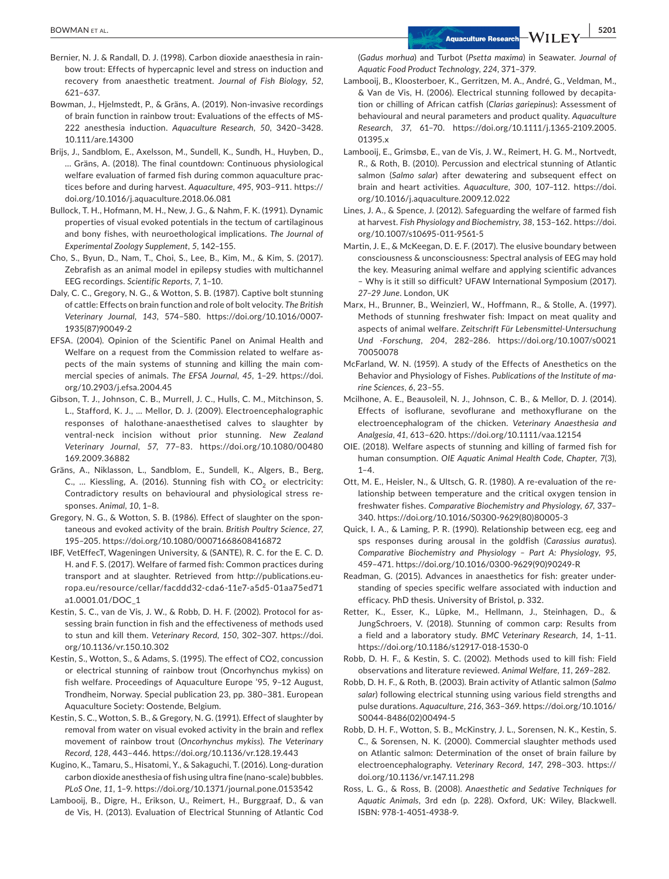- Bernier, N. J. & Randall, D. J. (1998). Carbon dioxide anaesthesia in rainbow trout: Effects of hypercapnic level and stress on induction and recovery from anaesthetic treatment. *Journal of Fish Biology*, *52*, 621–637.
- Bowman, J., Hjelmstedt, P., & Gräns, A. (2019). Non-invasive recordings of brain function in rainbow trout: Evaluations of the effects of MS-222 anesthesia induction. *Aquaculture Research*, *50*, 3420–3428. 10.111/are.14300
- Brijs, J., Sandblom, E., Axelsson, M., Sundell, K., Sundh, H., Huyben, D., … Gräns, A. (2018). The final countdown: Continuous physiological welfare evaluation of farmed fish during common aquaculture practices before and during harvest. *Aquaculture*, *495*, 903–911. [https://](https://doi.org/10.1016/j.aquaculture.2018.06.081) [doi.org/10.1016/j.aquaculture.2018.06.081](https://doi.org/10.1016/j.aquaculture.2018.06.081)
- Bullock, T. H., Hofmann, M. H., New, J. G., & Nahm, F. K. (1991). Dynamic properties of visual evoked potentials in the tectum of cartilaginous and bony fishes, with neuroethological implications. *The Journal of Experimental Zoology Supplement*, *5*, 142–155.
- Cho, S., Byun, D., Nam, T., Choi, S., Lee, B., Kim, M., & Kim, S. (2017). Zebrafish as an animal model in epilepsy studies with multichannel EEG recordings. *Scientific Reports*, *7*, 1–10.
- Daly, C. C., Gregory, N. G., & Wotton, S. B. (1987). Captive bolt stunning of cattle: Effects on brain function and role of bolt velocity. *The British Veterinary Journal*, *143*, 574–580. [https://doi.org/10.1016/0007-](https://doi.org/10.1016/0007-1935(87)90049-2) [1935\(87\)90049-2](https://doi.org/10.1016/0007-1935(87)90049-2)
- EFSA. (2004). Opinion of the Scientific Panel on Animal Health and Welfare on a request from the Commission related to welfare aspects of the main systems of stunning and killing the main commercial species of animals. *The EFSA Journal*, *45*, 1–29. [https://doi.](https://doi.org/10.2903/j.efsa.2004.45) [org/10.2903/j.efsa.2004.45](https://doi.org/10.2903/j.efsa.2004.45)
- Gibson, T. J., Johnson, C. B., Murrell, J. C., Hulls, C. M., Mitchinson, S. L., Stafford, K. J., … Mellor, D. J. (2009). Electroencephalographic responses of halothane-anaesthetised calves to slaughter by ventral-neck incision without prior stunning. *New Zealand Veterinary Journal*, *57*, 77–83. [https://doi.org/10.1080/00480](https://doi.org/10.1080/00480169.2009.36882) [169.2009.36882](https://doi.org/10.1080/00480169.2009.36882)
- Gräns, A., Niklasson, L., Sandblom, E., Sundell, K., Algers, B., Berg, C., ... Kiessling, A. (2016). Stunning fish with  $CO<sub>2</sub>$  or electricity: Contradictory results on behavioural and physiological stress responses. *Animal*, *10*, 1–8.
- Gregory, N. G., & Wotton, S. B. (1986). Effect of slaughter on the spontaneous and evoked activity of the brain. *British Poultry Science*, *27*, 195–205.<https://doi.org/10.1080/00071668608416872>
- IBF, VetEffecT, Wageningen University, & (SANTE), R. C. for the E. C. D. H. and F. S. (2017). Welfare of farmed fish: Common practices during transport and at slaughter. Retrieved from [http://publications.eu](http://publications.europa.eu/resource/cellar/facddd32-cda6-11e7-a5d5-01aa75ed71a1.0001.01/DOC_1)[ropa.eu/resource/cellar/facddd32-cda6-11e7-a5d5-01aa75ed71](http://publications.europa.eu/resource/cellar/facddd32-cda6-11e7-a5d5-01aa75ed71a1.0001.01/DOC_1) [a1.0001.01/DOC\\_1](http://publications.europa.eu/resource/cellar/facddd32-cda6-11e7-a5d5-01aa75ed71a1.0001.01/DOC_1)
- Kestin, S. C., van de Vis, J. W., & Robb, D. H. F. (2002). Protocol for assessing brain function in fish and the effectiveness of methods used to stun and kill them. *Veterinary Record*, *150*, 302–307. [https://doi.](https://doi.org/10.1136/vr.150.10.302) [org/10.1136/vr.150.10.302](https://doi.org/10.1136/vr.150.10.302)
- Kestin, S., Wotton, S., & Adams, S. (1995). The effect of CO2, concussion or electrical stunning of rainbow trout (Oncorhynchus mykiss) on fish welfare. Proceedings of Aquaculture Europe '95, 9–12 August, Trondheim, Norway. Special publication 23, pp. 380–381. European Aquaculture Society: Oostende, Belgium.
- Kestin, S. C., Wotton, S. B., & Gregory, N. G. (1991). Effect of slaughter by removal from water on visual evoked activity in the brain and reflex movement of rainbow trout (*Oncorhynchus mykiss*). *The Veterinary Record*, *128*, 443–446. <https://doi.org/10.1136/vr.128.19.443>
- Kugino, K., Tamaru, S., Hisatomi, Y., & Sakaguchi, T. (2016). Long-duration carbon dioxide anesthesia of fish using ultra fine (nano-scale) bubbles. *PLoS One*, *11*, 1–9. <https://doi.org/10.1371/journal.pone.0153542>
- Lambooij, B., Digre, H., Erikson, U., Reimert, H., Burggraaf, D., & van de Vis, H. (2013). Evaluation of Electrical Stunning of Atlantic Cod

(*Gadus morhua*) and Turbot (*Psetta maxima*) in Seawater. *Journal of Aquatic Food Product Technology*, *224*, 371–379.

- Lambooij, B., Kloosterboer, K., Gerritzen, M. A., André, G., Veldman, M., & Van de Vis, H. (2006). Electrical stunning followed by decapitation or chilling of African catfish (*Clarias gariepinus*): Assessment of behavioural and neural parameters and product quality. *Aquaculture Research*, *37*, 61–70. [https://doi.org/10.1111/j.1365-2109.2005.](https://doi.org/10.1111/j.1365-2109.2005.01395.x) [01395.x](https://doi.org/10.1111/j.1365-2109.2005.01395.x)
- Lambooij, E., Grimsbø, E., van de Vis, J. W., Reimert, H. G. M., Nortvedt, R., & Roth, B. (2010). Percussion and electrical stunning of Atlantic salmon (*Salmo salar*) after dewatering and subsequent effect on brain and heart activities. *Aquaculture*, *300*, 107–112. [https://doi.](https://doi.org/10.1016/j.aquaculture.2009.12.022) [org/10.1016/j.aquaculture.2009.12.022](https://doi.org/10.1016/j.aquaculture.2009.12.022)
- Lines, J. A., & Spence, J. (2012). Safeguarding the welfare of farmed fish at harvest. *Fish Physiology and Biochemistry*, *38*, 153–162. [https://doi.](https://doi.org/10.1007/s10695-011-9561-5) [org/10.1007/s10695-011-9561-5](https://doi.org/10.1007/s10695-011-9561-5)
- Martin, J. E., & McKeegan, D. E. F. (2017). The elusive boundary between consciousness & unconsciousness: Spectral analysis of EEG may hold the key. Measuring animal welfare and applying scientific advances – Why is it still so difficult? UFAW International Symposium (2017). *27–29 June*. London, UK
- Marx, H., Brunner, B., Weinzierl, W., Hoffmann, R., & Stolle, A. (1997). Methods of stunning freshwater fish: Impact on meat quality and aspects of animal welfare. *Zeitschrift Für Lebensmittel-Untersuchung Und -Forschung*, *204*, 282–286. [https://doi.org/10.1007/s0021](https://doi.org/10.1007/s002170050078) [70050078](https://doi.org/10.1007/s002170050078)
- McFarland, W. N. (1959). A study of the Effects of Anesthetics on the Behavior and Physiology of Fishes. *Publications of the Institute of marine Sciences*, *6*, 23–55.
- Mcilhone, A. E., Beausoleil, N. J., Johnson, C. B., & Mellor, D. J. (2014). Effects of isoflurane, sevoflurane and methoxyflurane on the electroencephalogram of the chicken. *Veterinary Anaesthesia and Analgesia*, *41*, 613–620.<https://doi.org/10.1111/vaa.12154>
- OIE. (2018). Welfare aspects of stunning and killing of farmed fish for human consumption. *OIE Aquatic Animal Health Code, Chapter*, *7*(3),  $1 - 4$ .
- Ott, M. E., Heisler, N., & Ultsch, G. R. (1980). A re-evaluation of the relationship between temperature and the critical oxygen tension in freshwater fishes. *Comparative Biochemistry and Physiology*, *67*, 337– 340. [https://doi.org/10.1016/S0300-9629\(80\)80005-3](https://doi.org/10.1016/S0300-9629(80)80005-3)
- Quick, I. A., & Laming, P. R. (1990). Relationship between ecg, eeg and sps responses during arousal in the goldfish (*Carassius auratus*). *Comparative Biochemistry and Physiology – Part A: Physiology*, *95*, 459–471. [https://doi.org/10.1016/0300-9629\(90\)90249-R](https://doi.org/10.1016/0300-9629(90)90249-R)
- Readman, G. (2015). Advances in anaesthetics for fish: greater understanding of species specific welfare associated with induction and efficacy. PhD thesis. University of Bristol, p. 332.
- Retter, K., Esser, K., Lüpke, M., Hellmann, J., Steinhagen, D., & JungSchroers, V. (2018). Stunning of common carp: Results from a field and a laboratory study. *BMC Veterinary Research*, *14*, 1–11. <https://doi.org/10.1186/s12917-018-1530-0>
- Robb, D. H. F., & Kestin, S. C. (2002). Methods used to kill fish: Field observations and literature reviewed. *Animal Welfare*, *11*, 269–282.
- Robb, D. H. F., & Roth, B. (2003). Brain activity of Atlantic salmon (*Salmo salar*) following electrical stunning using various field strengths and pulse durations. *Aquaculture*, *216*, 363–369. [https://doi.org/10.1016/](https://doi.org/10.1016/S0044-8486(02)00494-5) [S0044-8486\(02\)00494-5](https://doi.org/10.1016/S0044-8486(02)00494-5)
- Robb, D. H. F., Wotton, S. B., McKinstry, J. L., Sorensen, N. K., Kestin, S. C., & Sorensen, N. K. (2000). Commercial slaughter methods used on Atlantic salmon: Determination of the onset of brain failure by electroencephalography. *Veterinary Record*, *147*, 298–303. [https://](https://doi.org/10.1136/vr.147.11.298) [doi.org/10.1136/vr.147.11.298](https://doi.org/10.1136/vr.147.11.298)
- Ross, L. G., & Ross, B. (2008). *Anaesthetic and Sedative Techniques for Aquatic Animals*, 3rd edn (p. 228). Oxford, UK: Wiley, Blackwell. ISBN: 978-1-4051-4938-9.